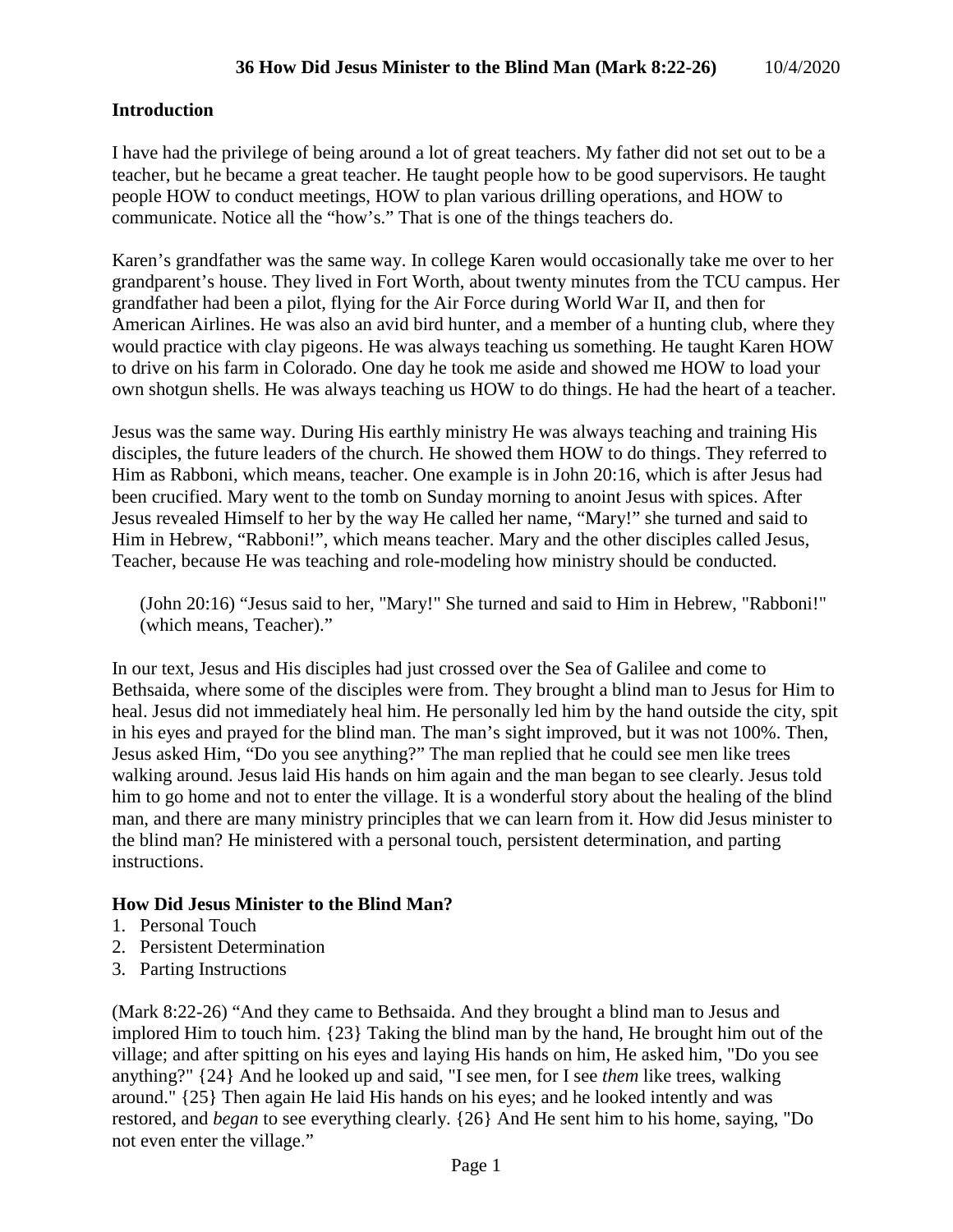### **Introduction**

I have had the privilege of being around a lot of great teachers. My father did not set out to be a teacher, but he became a great teacher. He taught people how to be good supervisors. He taught people HOW to conduct meetings, HOW to plan various drilling operations, and HOW to communicate. Notice all the "how's." That is one of the things teachers do.

Karen's grandfather was the same way. In college Karen would occasionally take me over to her grandparent's house. They lived in Fort Worth, about twenty minutes from the TCU campus. Her grandfather had been a pilot, flying for the Air Force during World War II, and then for American Airlines. He was also an avid bird hunter, and a member of a hunting club, where they would practice with clay pigeons. He was always teaching us something. He taught Karen HOW to drive on his farm in Colorado. One day he took me aside and showed me HOW to load your own shotgun shells. He was always teaching us HOW to do things. He had the heart of a teacher.

Jesus was the same way. During His earthly ministry He was always teaching and training His disciples, the future leaders of the church. He showed them HOW to do things. They referred to Him as Rabboni, which means, teacher. One example is in John 20:16, which is after Jesus had been crucified. Mary went to the tomb on Sunday morning to anoint Jesus with spices. After Jesus revealed Himself to her by the way He called her name, "Mary!" she turned and said to Him in Hebrew, "Rabboni!", which means teacher. Mary and the other disciples called Jesus, Teacher, because He was teaching and role-modeling how ministry should be conducted.

(John 20:16) "Jesus said to her, "Mary!" She turned and said to Him in Hebrew, "Rabboni!" (which means, Teacher)."

In our text, Jesus and His disciples had just crossed over the Sea of Galilee and come to Bethsaida, where some of the disciples were from. They brought a blind man to Jesus for Him to heal. Jesus did not immediately heal him. He personally led him by the hand outside the city, spit in his eyes and prayed for the blind man. The man's sight improved, but it was not 100%. Then, Jesus asked Him, "Do you see anything?" The man replied that he could see men like trees walking around. Jesus laid His hands on him again and the man began to see clearly. Jesus told him to go home and not to enter the village. It is a wonderful story about the healing of the blind man, and there are many ministry principles that we can learn from it. How did Jesus minister to the blind man? He ministered with a personal touch, persistent determination, and parting instructions.

#### **How Did Jesus Minister to the Blind Man?**

- 1. Personal Touch
- 2. Persistent Determination
- 3. Parting Instructions

(Mark 8:22-26) "And they came to Bethsaida. And they brought a blind man to Jesus and implored Him to touch him. {23} Taking the blind man by the hand, He brought him out of the village; and after spitting on his eyes and laying His hands on him, He asked him, "Do you see anything?" {24} And he looked up and said, "I see men, for I see *them* like trees, walking around." {25} Then again He laid His hands on his eyes; and he looked intently and was restored, and *began* to see everything clearly. {26} And He sent him to his home, saying, "Do not even enter the village."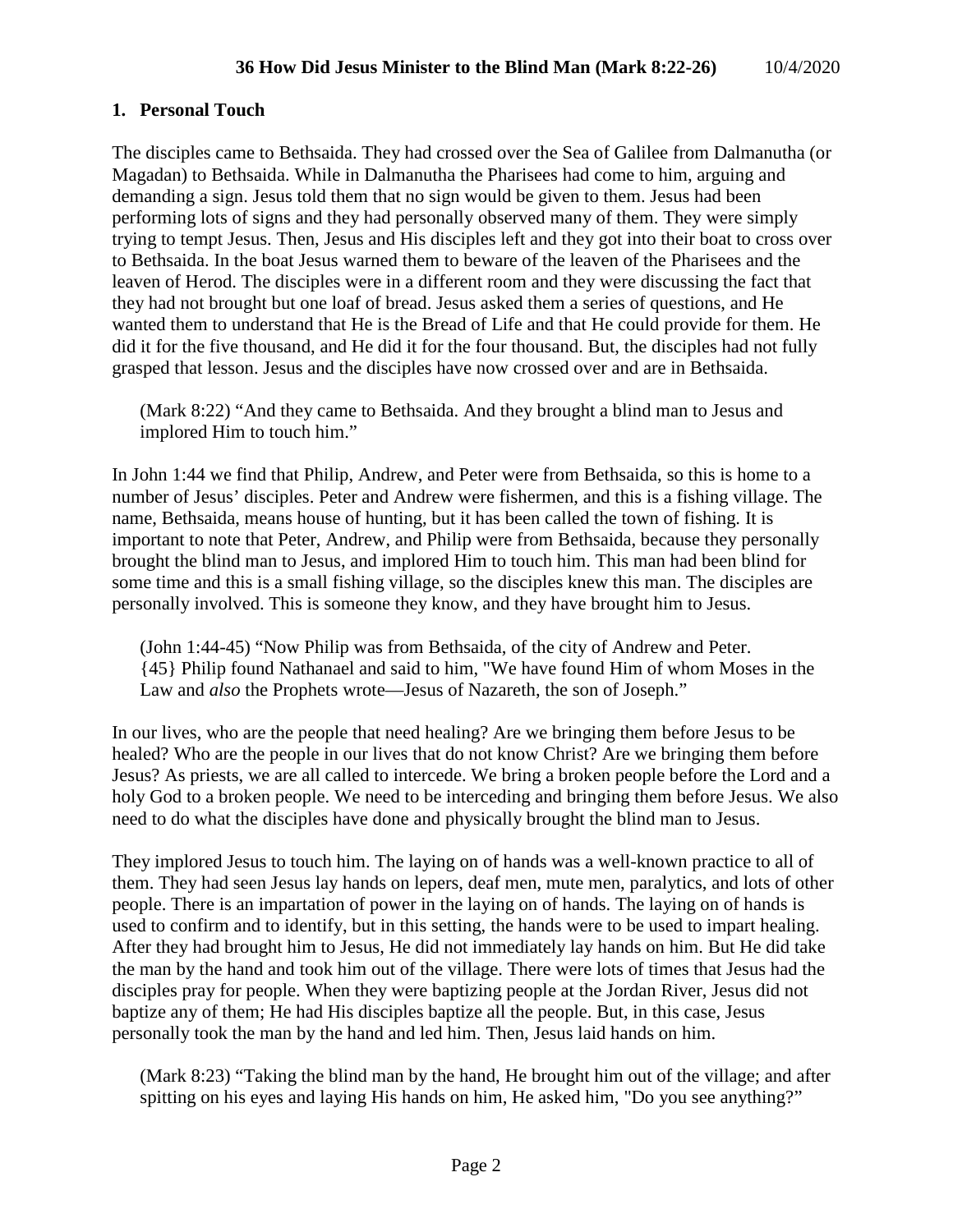# **1. Personal Touch**

The disciples came to Bethsaida. They had crossed over the Sea of Galilee from Dalmanutha (or Magadan) to Bethsaida. While in Dalmanutha the Pharisees had come to him, arguing and demanding a sign. Jesus told them that no sign would be given to them. Jesus had been performing lots of signs and they had personally observed many of them. They were simply trying to tempt Jesus. Then, Jesus and His disciples left and they got into their boat to cross over to Bethsaida. In the boat Jesus warned them to beware of the leaven of the Pharisees and the leaven of Herod. The disciples were in a different room and they were discussing the fact that they had not brought but one loaf of bread. Jesus asked them a series of questions, and He wanted them to understand that He is the Bread of Life and that He could provide for them. He did it for the five thousand, and He did it for the four thousand. But, the disciples had not fully grasped that lesson. Jesus and the disciples have now crossed over and are in Bethsaida.

(Mark 8:22) "And they came to Bethsaida. And they brought a blind man to Jesus and implored Him to touch him."

In John 1:44 we find that Philip, Andrew, and Peter were from Bethsaida, so this is home to a number of Jesus' disciples. Peter and Andrew were fishermen, and this is a fishing village. The name, Bethsaida, means house of hunting, but it has been called the town of fishing. It is important to note that Peter, Andrew, and Philip were from Bethsaida, because they personally brought the blind man to Jesus, and implored Him to touch him. This man had been blind for some time and this is a small fishing village, so the disciples knew this man. The disciples are personally involved. This is someone they know, and they have brought him to Jesus.

(John 1:44-45) "Now Philip was from Bethsaida, of the city of Andrew and Peter. {45} Philip found Nathanael and said to him, "We have found Him of whom Moses in the Law and *also* the Prophets wrote—Jesus of Nazareth, the son of Joseph."

In our lives, who are the people that need healing? Are we bringing them before Jesus to be healed? Who are the people in our lives that do not know Christ? Are we bringing them before Jesus? As priests, we are all called to intercede. We bring a broken people before the Lord and a holy God to a broken people. We need to be interceding and bringing them before Jesus. We also need to do what the disciples have done and physically brought the blind man to Jesus.

They implored Jesus to touch him. The laying on of hands was a well-known practice to all of them. They had seen Jesus lay hands on lepers, deaf men, mute men, paralytics, and lots of other people. There is an impartation of power in the laying on of hands. The laying on of hands is used to confirm and to identify, but in this setting, the hands were to be used to impart healing. After they had brought him to Jesus, He did not immediately lay hands on him. But He did take the man by the hand and took him out of the village. There were lots of times that Jesus had the disciples pray for people. When they were baptizing people at the Jordan River, Jesus did not baptize any of them; He had His disciples baptize all the people. But, in this case, Jesus personally took the man by the hand and led him. Then, Jesus laid hands on him.

(Mark 8:23) "Taking the blind man by the hand, He brought him out of the village; and after spitting on his eyes and laying His hands on him, He asked him, "Do you see anything?"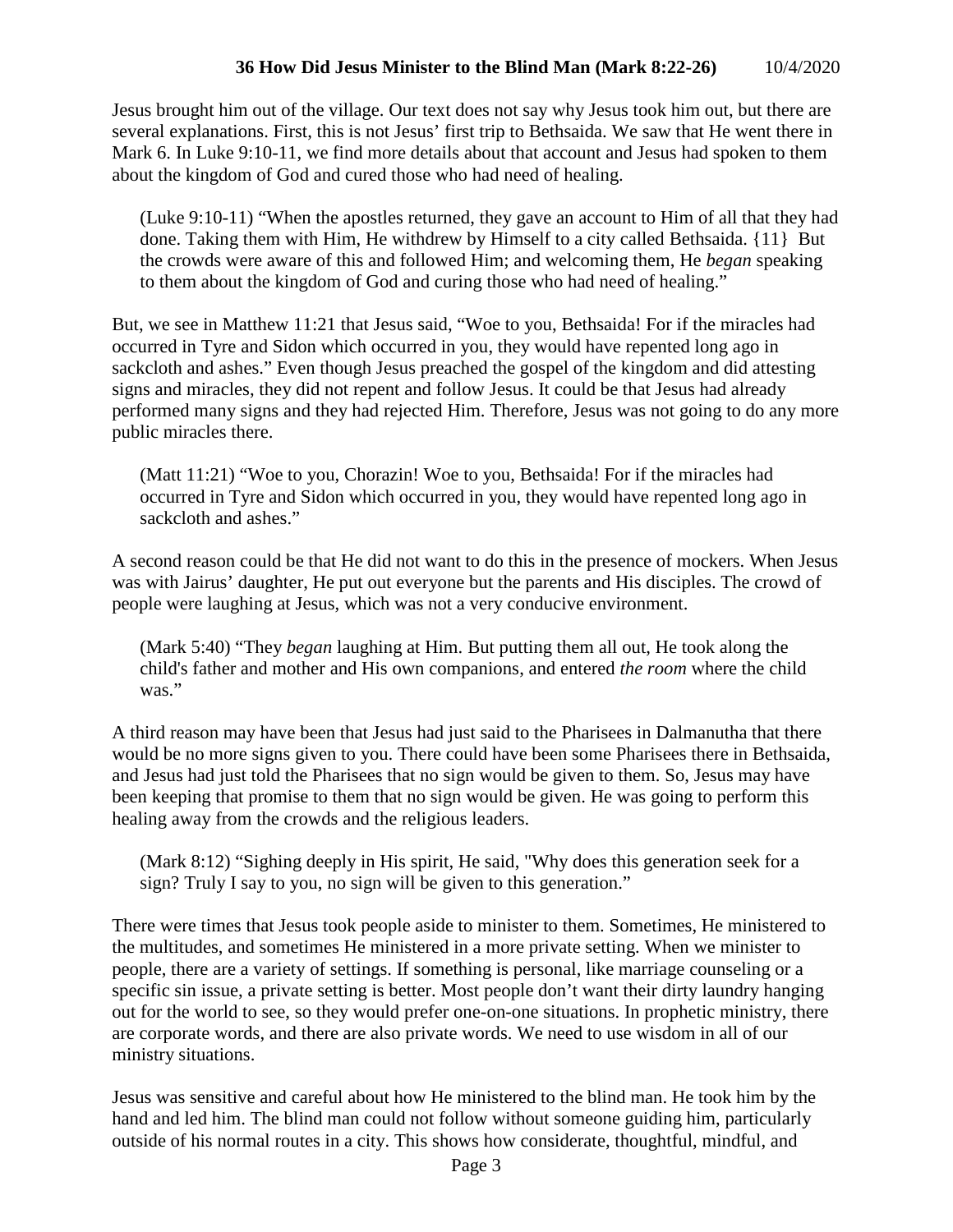Jesus brought him out of the village. Our text does not say why Jesus took him out, but there are several explanations. First, this is not Jesus' first trip to Bethsaida. We saw that He went there in Mark 6. In Luke 9:10-11, we find more details about that account and Jesus had spoken to them about the kingdom of God and cured those who had need of healing.

(Luke 9:10-11) "When the apostles returned, they gave an account to Him of all that they had done. Taking them with Him, He withdrew by Himself to a city called Bethsaida. {11} But the crowds were aware of this and followed Him; and welcoming them, He *began* speaking to them about the kingdom of God and curing those who had need of healing."

But, we see in Matthew 11:21 that Jesus said, "Woe to you, Bethsaida! For if the miracles had occurred in Tyre and Sidon which occurred in you, they would have repented long ago in sackcloth and ashes." Even though Jesus preached the gospel of the kingdom and did attesting signs and miracles, they did not repent and follow Jesus. It could be that Jesus had already performed many signs and they had rejected Him. Therefore, Jesus was not going to do any more public miracles there.

(Matt 11:21) "Woe to you, Chorazin! Woe to you, Bethsaida! For if the miracles had occurred in Tyre and Sidon which occurred in you, they would have repented long ago in sackcloth and ashes."

A second reason could be that He did not want to do this in the presence of mockers. When Jesus was with Jairus' daughter, He put out everyone but the parents and His disciples. The crowd of people were laughing at Jesus, which was not a very conducive environment.

(Mark 5:40) "They *began* laughing at Him. But putting them all out, He took along the child's father and mother and His own companions, and entered *the room* where the child was."

A third reason may have been that Jesus had just said to the Pharisees in Dalmanutha that there would be no more signs given to you. There could have been some Pharisees there in Bethsaida, and Jesus had just told the Pharisees that no sign would be given to them. So, Jesus may have been keeping that promise to them that no sign would be given. He was going to perform this healing away from the crowds and the religious leaders.

(Mark 8:12) "Sighing deeply in His spirit, He said, "Why does this generation seek for a sign? Truly I say to you, no sign will be given to this generation."

There were times that Jesus took people aside to minister to them. Sometimes, He ministered to the multitudes, and sometimes He ministered in a more private setting. When we minister to people, there are a variety of settings. If something is personal, like marriage counseling or a specific sin issue, a private setting is better. Most people don't want their dirty laundry hanging out for the world to see, so they would prefer one-on-one situations. In prophetic ministry, there are corporate words, and there are also private words. We need to use wisdom in all of our ministry situations.

Jesus was sensitive and careful about how He ministered to the blind man. He took him by the hand and led him. The blind man could not follow without someone guiding him, particularly outside of his normal routes in a city. This shows how considerate, thoughtful, mindful, and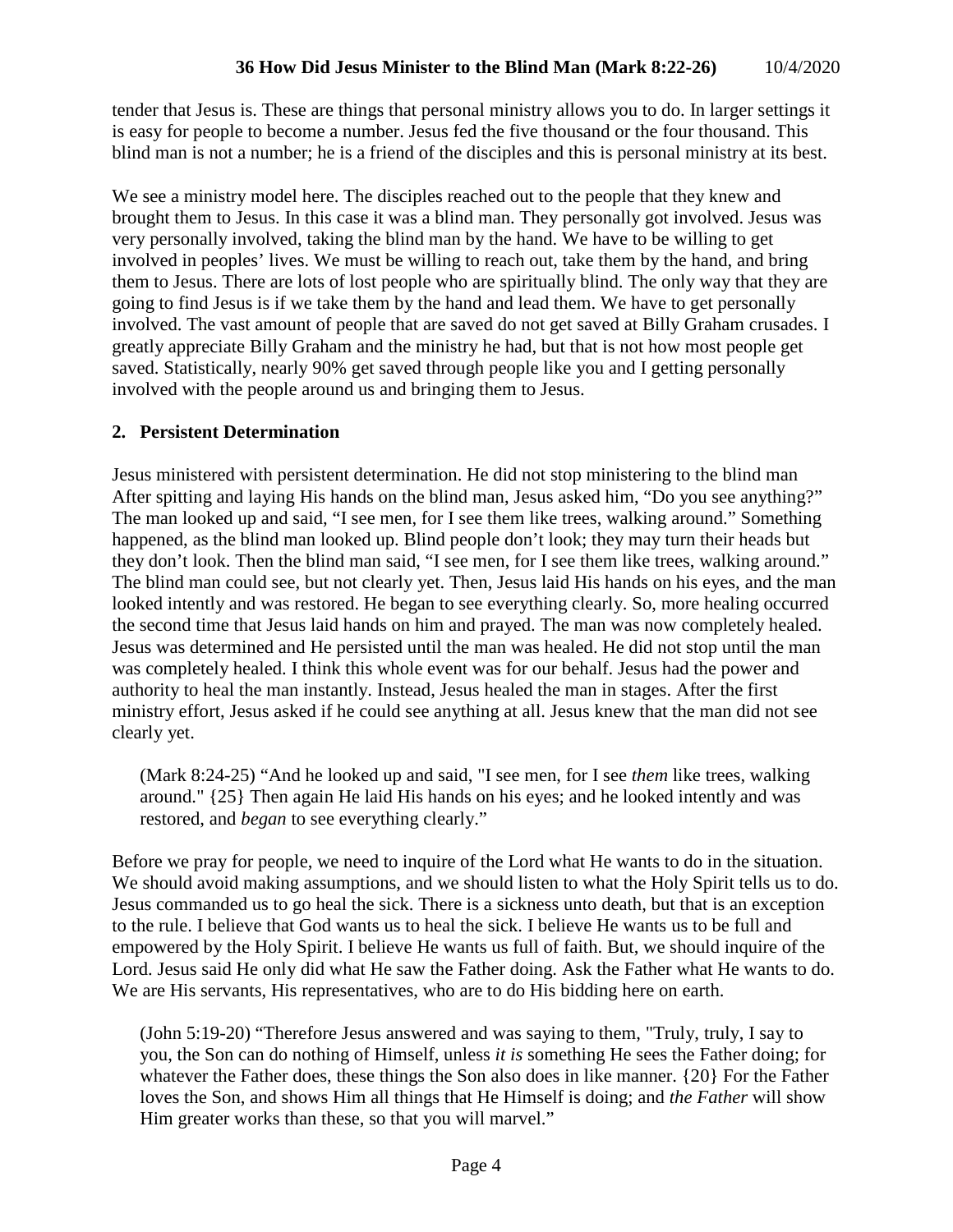tender that Jesus is. These are things that personal ministry allows you to do. In larger settings it is easy for people to become a number. Jesus fed the five thousand or the four thousand. This blind man is not a number; he is a friend of the disciples and this is personal ministry at its best.

We see a ministry model here. The disciples reached out to the people that they knew and brought them to Jesus. In this case it was a blind man. They personally got involved. Jesus was very personally involved, taking the blind man by the hand. We have to be willing to get involved in peoples' lives. We must be willing to reach out, take them by the hand, and bring them to Jesus. There are lots of lost people who are spiritually blind. The only way that they are going to find Jesus is if we take them by the hand and lead them. We have to get personally involved. The vast amount of people that are saved do not get saved at Billy Graham crusades. I greatly appreciate Billy Graham and the ministry he had, but that is not how most people get saved. Statistically, nearly 90% get saved through people like you and I getting personally involved with the people around us and bringing them to Jesus.

## **2. Persistent Determination**

Jesus ministered with persistent determination. He did not stop ministering to the blind man After spitting and laying His hands on the blind man, Jesus asked him, "Do you see anything?" The man looked up and said, "I see men, for I see them like trees, walking around." Something happened, as the blind man looked up. Blind people don't look; they may turn their heads but they don't look. Then the blind man said, "I see men, for I see them like trees, walking around." The blind man could see, but not clearly yet. Then, Jesus laid His hands on his eyes, and the man looked intently and was restored. He began to see everything clearly. So, more healing occurred the second time that Jesus laid hands on him and prayed. The man was now completely healed. Jesus was determined and He persisted until the man was healed. He did not stop until the man was completely healed. I think this whole event was for our behalf. Jesus had the power and authority to heal the man instantly. Instead, Jesus healed the man in stages. After the first ministry effort, Jesus asked if he could see anything at all. Jesus knew that the man did not see clearly yet.

(Mark 8:24-25) "And he looked up and said, "I see men, for I see *them* like trees, walking around." {25} Then again He laid His hands on his eyes; and he looked intently and was restored, and *began* to see everything clearly."

Before we pray for people, we need to inquire of the Lord what He wants to do in the situation. We should avoid making assumptions, and we should listen to what the Holy Spirit tells us to do. Jesus commanded us to go heal the sick. There is a sickness unto death, but that is an exception to the rule. I believe that God wants us to heal the sick. I believe He wants us to be full and empowered by the Holy Spirit. I believe He wants us full of faith. But, we should inquire of the Lord. Jesus said He only did what He saw the Father doing. Ask the Father what He wants to do. We are His servants, His representatives, who are to do His bidding here on earth.

(John 5:19-20) "Therefore Jesus answered and was saying to them, "Truly, truly, I say to you, the Son can do nothing of Himself, unless *it is* something He sees the Father doing; for whatever the Father does, these things the Son also does in like manner. {20} For the Father loves the Son, and shows Him all things that He Himself is doing; and *the Father* will show Him greater works than these, so that you will marvel."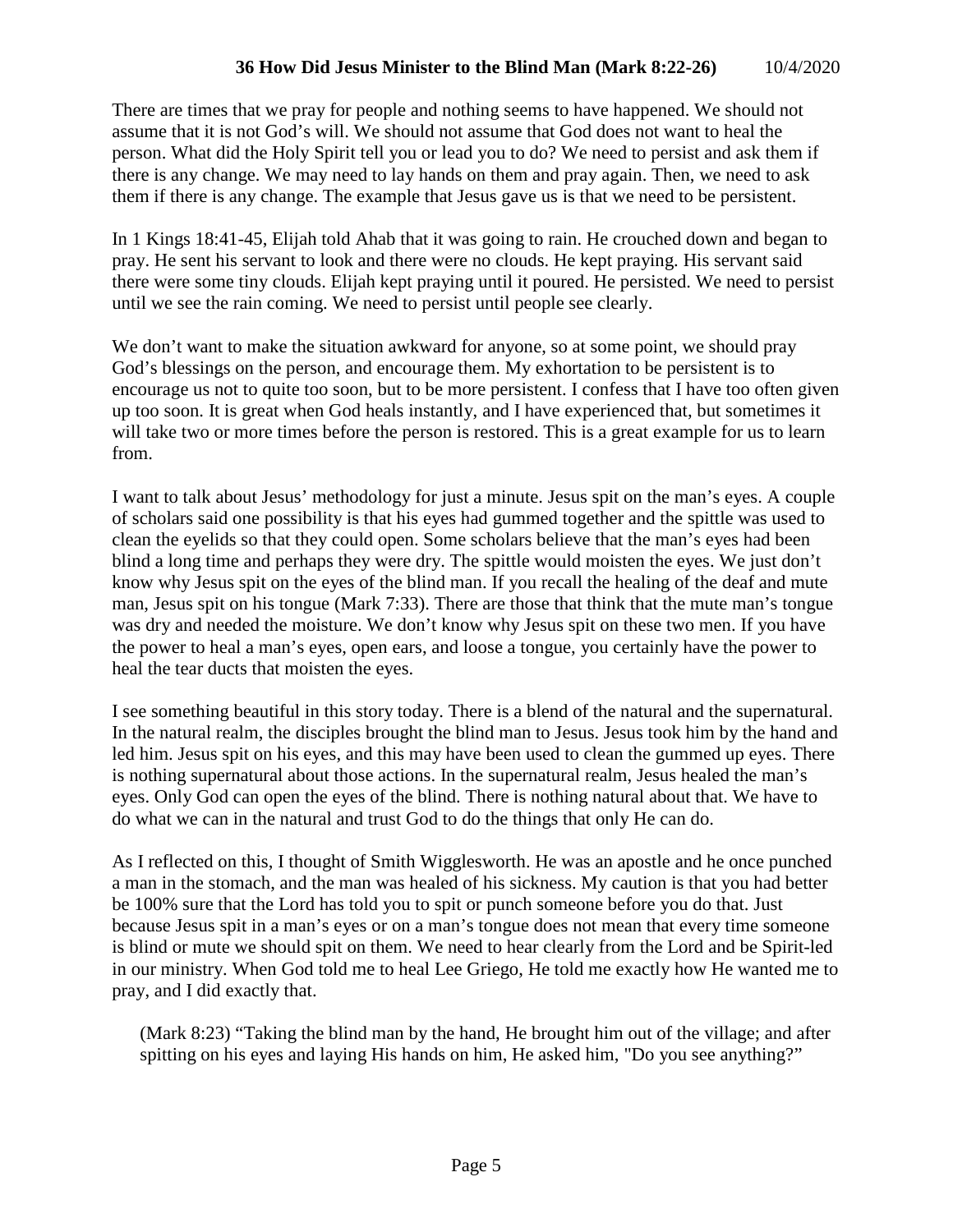There are times that we pray for people and nothing seems to have happened. We should not assume that it is not God's will. We should not assume that God does not want to heal the person. What did the Holy Spirit tell you or lead you to do? We need to persist and ask them if there is any change. We may need to lay hands on them and pray again. Then, we need to ask them if there is any change. The example that Jesus gave us is that we need to be persistent.

In 1 Kings 18:41-45, Elijah told Ahab that it was going to rain. He crouched down and began to pray. He sent his servant to look and there were no clouds. He kept praying. His servant said there were some tiny clouds. Elijah kept praying until it poured. He persisted. We need to persist until we see the rain coming. We need to persist until people see clearly.

We don't want to make the situation awkward for anyone, so at some point, we should pray God's blessings on the person, and encourage them. My exhortation to be persistent is to encourage us not to quite too soon, but to be more persistent. I confess that I have too often given up too soon. It is great when God heals instantly, and I have experienced that, but sometimes it will take two or more times before the person is restored. This is a great example for us to learn from.

I want to talk about Jesus' methodology for just a minute. Jesus spit on the man's eyes. A couple of scholars said one possibility is that his eyes had gummed together and the spittle was used to clean the eyelids so that they could open. Some scholars believe that the man's eyes had been blind a long time and perhaps they were dry. The spittle would moisten the eyes. We just don't know why Jesus spit on the eyes of the blind man. If you recall the healing of the deaf and mute man, Jesus spit on his tongue (Mark 7:33). There are those that think that the mute man's tongue was dry and needed the moisture. We don't know why Jesus spit on these two men. If you have the power to heal a man's eyes, open ears, and loose a tongue, you certainly have the power to heal the tear ducts that moisten the eyes.

I see something beautiful in this story today. There is a blend of the natural and the supernatural. In the natural realm, the disciples brought the blind man to Jesus. Jesus took him by the hand and led him. Jesus spit on his eyes, and this may have been used to clean the gummed up eyes. There is nothing supernatural about those actions. In the supernatural realm, Jesus healed the man's eyes. Only God can open the eyes of the blind. There is nothing natural about that. We have to do what we can in the natural and trust God to do the things that only He can do.

As I reflected on this, I thought of Smith Wigglesworth. He was an apostle and he once punched a man in the stomach, and the man was healed of his sickness. My caution is that you had better be 100% sure that the Lord has told you to spit or punch someone before you do that. Just because Jesus spit in a man's eyes or on a man's tongue does not mean that every time someone is blind or mute we should spit on them. We need to hear clearly from the Lord and be Spirit-led in our ministry. When God told me to heal Lee Griego, He told me exactly how He wanted me to pray, and I did exactly that.

(Mark 8:23) "Taking the blind man by the hand, He brought him out of the village; and after spitting on his eyes and laying His hands on him, He asked him, "Do you see anything?"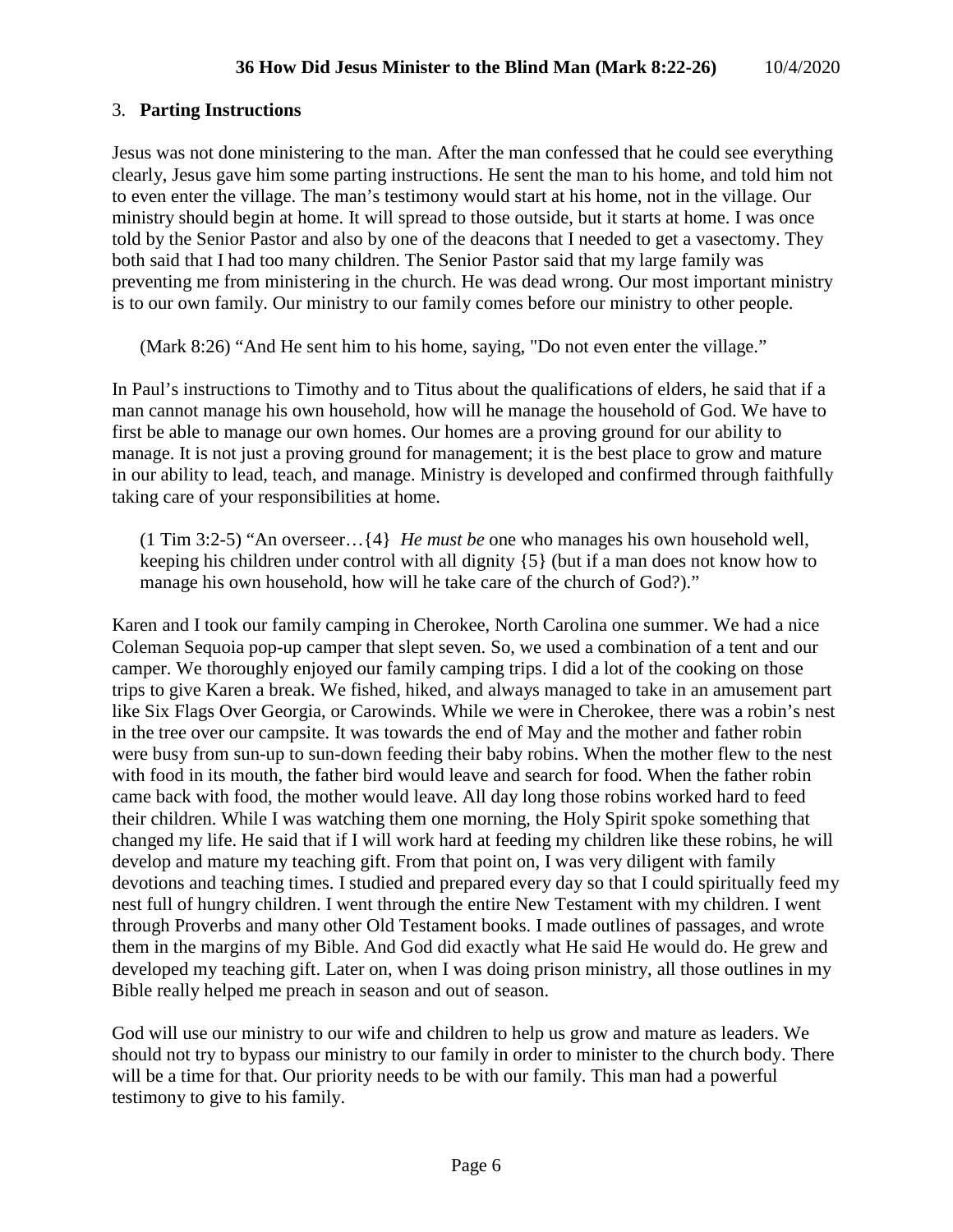# 3. **Parting Instructions**

Jesus was not done ministering to the man. After the man confessed that he could see everything clearly, Jesus gave him some parting instructions. He sent the man to his home, and told him not to even enter the village. The man's testimony would start at his home, not in the village. Our ministry should begin at home. It will spread to those outside, but it starts at home. I was once told by the Senior Pastor and also by one of the deacons that I needed to get a vasectomy. They both said that I had too many children. The Senior Pastor said that my large family was preventing me from ministering in the church. He was dead wrong. Our most important ministry is to our own family. Our ministry to our family comes before our ministry to other people.

(Mark 8:26) "And He sent him to his home, saying, "Do not even enter the village."

In Paul's instructions to Timothy and to Titus about the qualifications of elders, he said that if a man cannot manage his own household, how will he manage the household of God. We have to first be able to manage our own homes. Our homes are a proving ground for our ability to manage. It is not just a proving ground for management; it is the best place to grow and mature in our ability to lead, teach, and manage. Ministry is developed and confirmed through faithfully taking care of your responsibilities at home.

(1 Tim 3:2-5) "An overseer…{4} *He must be* one who manages his own household well, keeping his children under control with all dignity {5} (but if a man does not know how to manage his own household, how will he take care of the church of God?)."

Karen and I took our family camping in Cherokee, North Carolina one summer. We had a nice Coleman Sequoia pop-up camper that slept seven. So, we used a combination of a tent and our camper. We thoroughly enjoyed our family camping trips. I did a lot of the cooking on those trips to give Karen a break. We fished, hiked, and always managed to take in an amusement part like Six Flags Over Georgia, or Carowinds. While we were in Cherokee, there was a robin's nest in the tree over our campsite. It was towards the end of May and the mother and father robin were busy from sun-up to sun-down feeding their baby robins. When the mother flew to the nest with food in its mouth, the father bird would leave and search for food. When the father robin came back with food, the mother would leave. All day long those robins worked hard to feed their children. While I was watching them one morning, the Holy Spirit spoke something that changed my life. He said that if I will work hard at feeding my children like these robins, he will develop and mature my teaching gift. From that point on, I was very diligent with family devotions and teaching times. I studied and prepared every day so that I could spiritually feed my nest full of hungry children. I went through the entire New Testament with my children. I went through Proverbs and many other Old Testament books. I made outlines of passages, and wrote them in the margins of my Bible. And God did exactly what He said He would do. He grew and developed my teaching gift. Later on, when I was doing prison ministry, all those outlines in my Bible really helped me preach in season and out of season.

God will use our ministry to our wife and children to help us grow and mature as leaders. We should not try to bypass our ministry to our family in order to minister to the church body. There will be a time for that. Our priority needs to be with our family. This man had a powerful testimony to give to his family.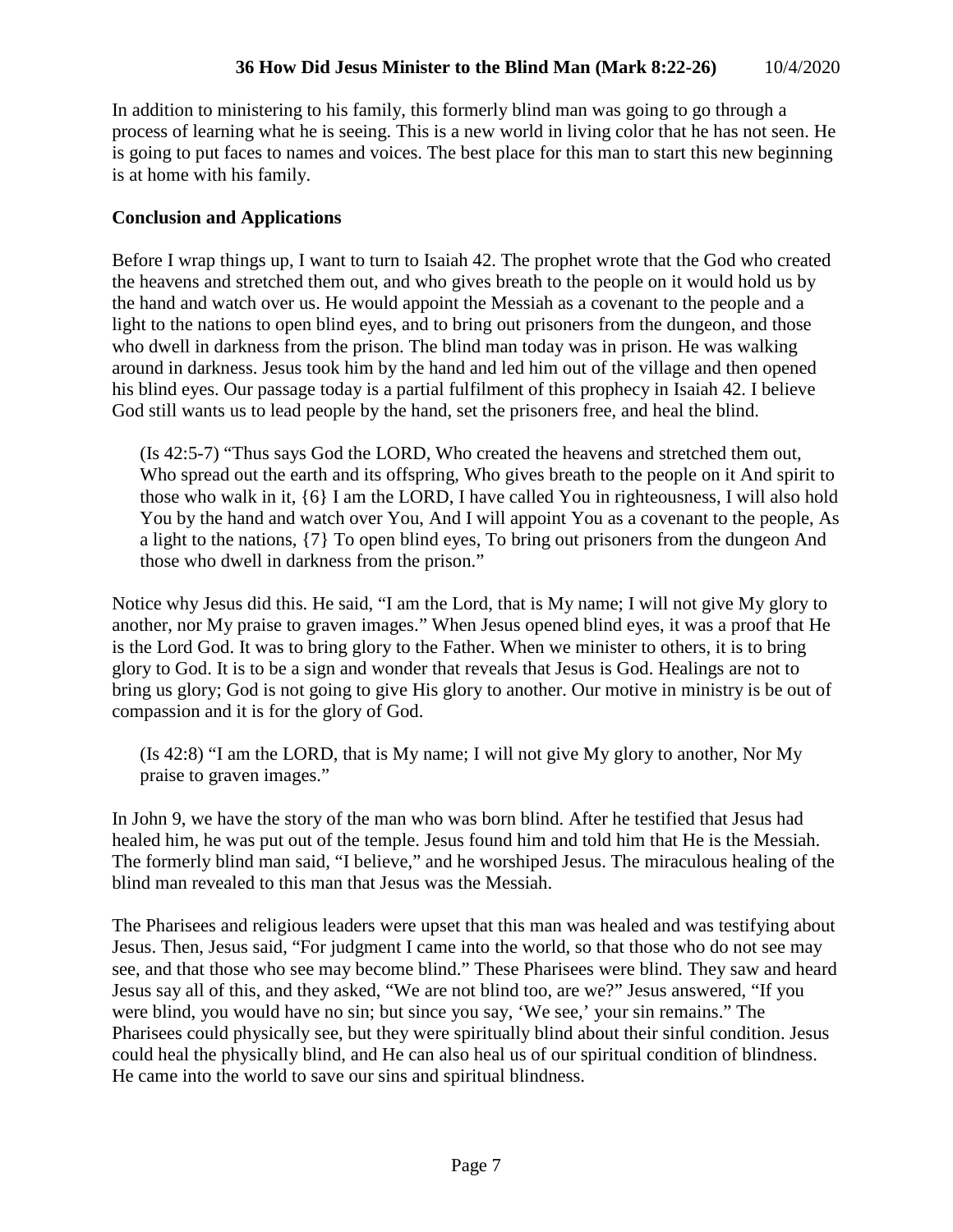In addition to ministering to his family, this formerly blind man was going to go through a process of learning what he is seeing. This is a new world in living color that he has not seen. He is going to put faces to names and voices. The best place for this man to start this new beginning is at home with his family.

# **Conclusion and Applications**

Before I wrap things up, I want to turn to Isaiah 42. The prophet wrote that the God who created the heavens and stretched them out, and who gives breath to the people on it would hold us by the hand and watch over us. He would appoint the Messiah as a covenant to the people and a light to the nations to open blind eyes, and to bring out prisoners from the dungeon, and those who dwell in darkness from the prison. The blind man today was in prison. He was walking around in darkness. Jesus took him by the hand and led him out of the village and then opened his blind eyes. Our passage today is a partial fulfilment of this prophecy in Isaiah 42. I believe God still wants us to lead people by the hand, set the prisoners free, and heal the blind.

(Is 42:5-7) "Thus says God the LORD, Who created the heavens and stretched them out, Who spread out the earth and its offspring, Who gives breath to the people on it And spirit to those who walk in it, {6} I am the LORD, I have called You in righteousness, I will also hold You by the hand and watch over You, And I will appoint You as a covenant to the people, As a light to the nations, {7} To open blind eyes, To bring out prisoners from the dungeon And those who dwell in darkness from the prison."

Notice why Jesus did this. He said, "I am the Lord, that is My name; I will not give My glory to another, nor My praise to graven images." When Jesus opened blind eyes, it was a proof that He is the Lord God. It was to bring glory to the Father. When we minister to others, it is to bring glory to God. It is to be a sign and wonder that reveals that Jesus is God. Healings are not to bring us glory; God is not going to give His glory to another. Our motive in ministry is be out of compassion and it is for the glory of God.

(Is 42:8) "I am the LORD, that is My name; I will not give My glory to another, Nor My praise to graven images."

In John 9, we have the story of the man who was born blind. After he testified that Jesus had healed him, he was put out of the temple. Jesus found him and told him that He is the Messiah. The formerly blind man said, "I believe," and he worshiped Jesus. The miraculous healing of the blind man revealed to this man that Jesus was the Messiah.

The Pharisees and religious leaders were upset that this man was healed and was testifying about Jesus. Then, Jesus said, "For judgment I came into the world, so that those who do not see may see, and that those who see may become blind." These Pharisees were blind. They saw and heard Jesus say all of this, and they asked, "We are not blind too, are we?" Jesus answered, "If you were blind, you would have no sin; but since you say, 'We see,' your sin remains." The Pharisees could physically see, but they were spiritually blind about their sinful condition. Jesus could heal the physically blind, and He can also heal us of our spiritual condition of blindness. He came into the world to save our sins and spiritual blindness.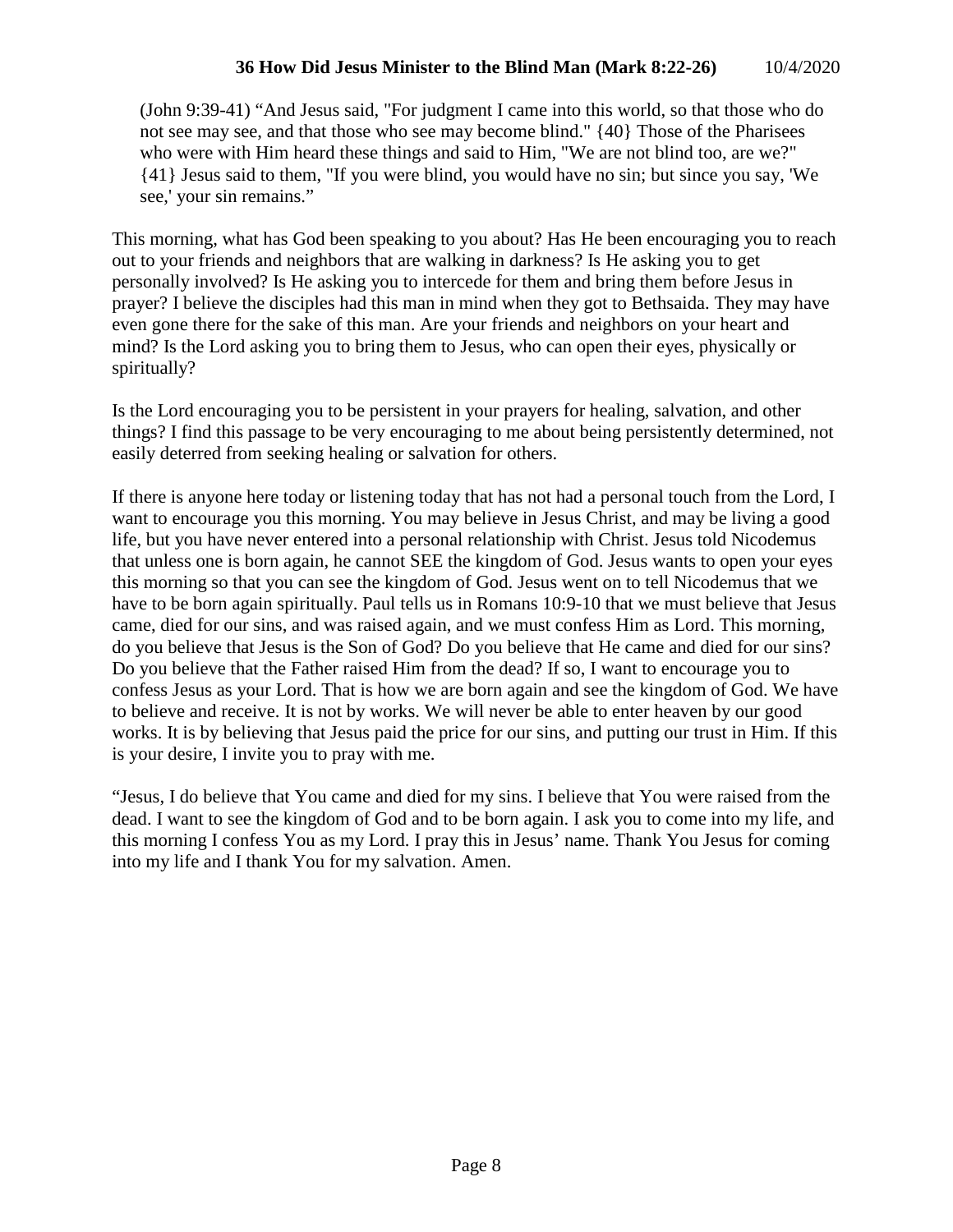## **36 How Did Jesus Minister to the Blind Man (Mark 8:22-26)** 10/4/2020

(John 9:39-41) "And Jesus said, "For judgment I came into this world, so that those who do not see may see, and that those who see may become blind." {40} Those of the Pharisees who were with Him heard these things and said to Him, "We are not blind too, are we?" {41} Jesus said to them, "If you were blind, you would have no sin; but since you say, 'We see,' your sin remains."

This morning, what has God been speaking to you about? Has He been encouraging you to reach out to your friends and neighbors that are walking in darkness? Is He asking you to get personally involved? Is He asking you to intercede for them and bring them before Jesus in prayer? I believe the disciples had this man in mind when they got to Bethsaida. They may have even gone there for the sake of this man. Are your friends and neighbors on your heart and mind? Is the Lord asking you to bring them to Jesus, who can open their eyes, physically or spiritually?

Is the Lord encouraging you to be persistent in your prayers for healing, salvation, and other things? I find this passage to be very encouraging to me about being persistently determined, not easily deterred from seeking healing or salvation for others.

If there is anyone here today or listening today that has not had a personal touch from the Lord, I want to encourage you this morning. You may believe in Jesus Christ, and may be living a good life, but you have never entered into a personal relationship with Christ. Jesus told Nicodemus that unless one is born again, he cannot SEE the kingdom of God. Jesus wants to open your eyes this morning so that you can see the kingdom of God. Jesus went on to tell Nicodemus that we have to be born again spiritually. Paul tells us in Romans 10:9-10 that we must believe that Jesus came, died for our sins, and was raised again, and we must confess Him as Lord. This morning, do you believe that Jesus is the Son of God? Do you believe that He came and died for our sins? Do you believe that the Father raised Him from the dead? If so, I want to encourage you to confess Jesus as your Lord. That is how we are born again and see the kingdom of God. We have to believe and receive. It is not by works. We will never be able to enter heaven by our good works. It is by believing that Jesus paid the price for our sins, and putting our trust in Him. If this is your desire, I invite you to pray with me.

"Jesus, I do believe that You came and died for my sins. I believe that You were raised from the dead. I want to see the kingdom of God and to be born again. I ask you to come into my life, and this morning I confess You as my Lord. I pray this in Jesus' name. Thank You Jesus for coming into my life and I thank You for my salvation. Amen.